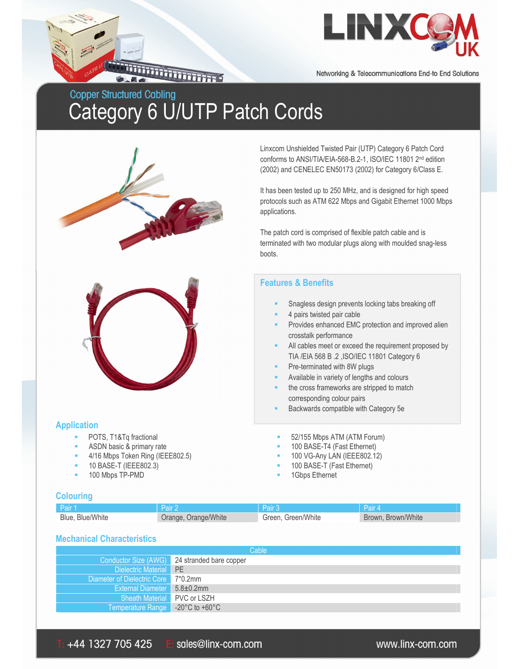

Networking & Telecommunications End-to End Solutions

# **Copper Structured Cabling** Category 6 U/UTP Patch Cords

**THE REAL PROPERTY** 



Linxcom Unshielded Twisted Pair (UTP) Category 6 Patch Cord conforms to ANSI/TIA/EIA-568-B.2-1, ISO/IEC 11801 2nd edition (2002) and CENELEC EN50173 (2002) for Category 6/Class E.

It has been tested up to 250 MHz, and is designed for high speed protocols such as ATM 622 Mbps and Gigabit Ethernet 1000 Mbps applications.

The patch cord is comprised of flexible patch cable and is terminated with two modular plugs along with moulded snag-less boots.

## **Features & Benefits**

- Snagless design prevents locking tabs breaking off
- 4 pairs twisted pair cable
- Provides enhanced EMC protection and improved alien crosstalk performance
- All cables meet or exceed the requirement proposed by TIA /EIA 568 B .2 ,ISO/IEC 11801 Category 6
- Pre-terminated with 8W plugs
- Available in variety of lengths and colours
- the cross frameworks are stripped to match corresponding colour pairs
- Backwards compatible with Category 5e

#### **Application**

- 
- 
- 4/16 Mbps Token Ring (IEEE802.5) 100 VG-Any LAN (IEEE802.12)
- 
- 
- POTS, T1&Tq fractional **EXECUTE:** 52/155 Mbps ATM (ATM Forum)
- ASDN basic & primary rate **100 BASE-T4** (Fast Ethernet)
	-
- 10 BASE-T (IEEE802.3) 100 BASE-T (Fast Ethernet)
	- 100 Mbps TP-PMD **100 Mbps** TP-PMD

#### **Colouring**

| Pair 1           | 'Pair 2              | Pair 3             | Pair 4             |
|------------------|----------------------|--------------------|--------------------|
| Blue, Blue/White | Orange, Orange/White | Green, Green/White | Brown, Brown/White |

#### **Mechanical Characteristics**

| Cable                               |                                              |  |
|-------------------------------------|----------------------------------------------|--|
|                                     | Conductor Size (AWG) 24 stranded bare copper |  |
| Dielectric Material PE              |                                              |  |
| Diameter of Dielectric Core 7*0.2mm |                                              |  |
| External Diameter 5.8±0.2mm         |                                              |  |
| Sheath Material PVC or LSZH         |                                              |  |
| Temperature Range -20°C to +60°C    |                                              |  |